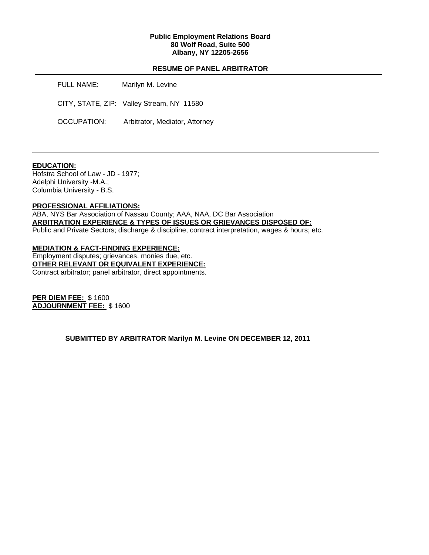### **Public Employment Relations Board 80 Wolf Road, Suite 500 Albany, NY 12205-2656**

## **RESUME OF PANEL ARBITRATOR**

FULL NAME: Marilyn M. Levine CITY, STATE, ZIP: Valley Stream, NY 11580 OCCUPATION: Arbitrator, Mediator, Attorney

## **EDUCATION:**

Hofstra School of Law - JD - 1977; Adelphi University -M.A.; Columbia University - B.S.

#### **PROFESSIONAL AFFILIATIONS:**

ABA, NYS Bar Association of Nassau County; AAA, NAA, DC Bar Association **ARBITRATION EXPERIENCE & TYPES OF ISSUES OR GRIEVANCES DISPOSED OF:**  Public and Private Sectors; discharge & discipline, contract interpretation, wages & hours; etc.

**MEDIATION & FACT-FINDING EXPERIENCE:**  Employment disputes; grievances, monies due, etc. **OTHER RELEVANT OR EQUIVALENT EXPERIENCE:**  Contract arbitrator; panel arbitrator, direct appointments.

**PER DIEM FEE:** \$ 1600 **ADJOURNMENT FEE:** \$ 1600

**SUBMITTED BY ARBITRATOR Marilyn M. Levine ON DECEMBER 12, 2011**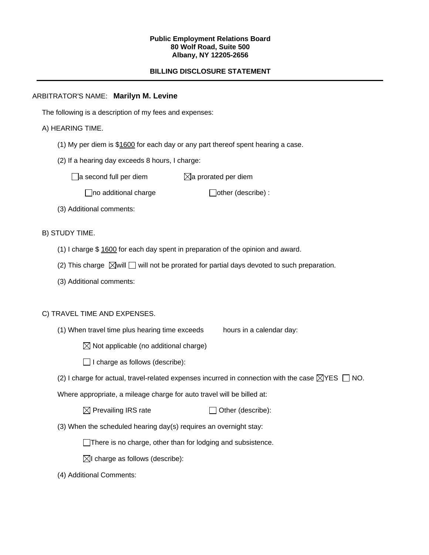#### **Public Employment Relations Board 80 Wolf Road, Suite 500 Albany, NY 12205-2656**

# **BILLING DISCLOSURE STATEMENT**

# ARBITRATOR'S NAME: **Marilyn M. Levine**

The following is a description of my fees and expenses:

# A) HEARING TIME.

- (1) My per diem is \$1600 for each day or any part thereof spent hearing a case.
- (2) If a hearing day exceeds 8 hours, I charge:

 $\Box$ a second full per diem  $\boxtimes$ a prorated per diem

 $\Box$ no additional charge  $\Box$ other (describe) :

(3) Additional comments:

B) STUDY TIME.

- (1) I charge \$ 1600 for each day spent in preparation of the opinion and award.
- (2) This charge  $\boxtimes$  will  $\Box$  will not be prorated for partial days devoted to such preparation.
- (3) Additional comments:

### C) TRAVEL TIME AND EXPENSES.

(1) When travel time plus hearing time exceeds hours in a calendar day:

 $\boxtimes$  Not applicable (no additional charge)

 $\Box$  I charge as follows (describe):

(2) I charge for actual, travel-related expenses incurred in connection with the case  $\boxtimes$ YES  $\Box$  NO.

Where appropriate, a mileage charge for auto travel will be billed at:

 $\boxtimes$  Prevailing IRS rate  $\Box$  Other (describe):

(3) When the scheduled hearing day(s) requires an overnight stay:

There is no charge, other than for lodging and subsistence.

 $\boxtimes$ I charge as follows (describe):

(4) Additional Comments: